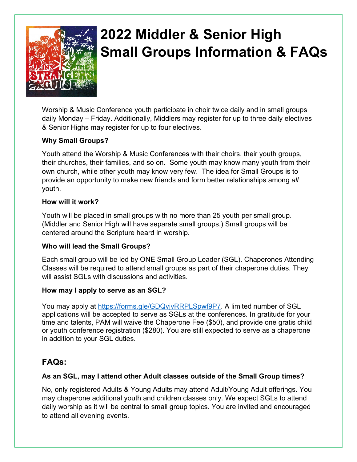

# **2022 Middler & Senior High Small Groups Information & FAQs**

Worship & Music Conference youth participate in choir twice daily and in small groups daily Monday – Friday. Additionally, Middlers may register for up to three daily electives & Senior Highs may register for up to four electives.

# **Why Small Groups?**

Youth attend the Worship & Music Conferences with their choirs, their youth groups, their churches, their families, and so on. Some youth may know many youth from their own church, while other youth may know very few. The idea for Small Groups is to provide an opportunity to make new friends and form better relationships among *all* youth.

# **How will it work?**

Youth will be placed in small groups with no more than 25 youth per small group. (Middler and Senior High will have separate small groups.) Small groups will be centered around the Scripture heard in worship.

# **Who will lead the Small Groups?**

Each small group will be led by ONE Small Group Leader (SGL). Chaperones Attending Classes will be required to attend small groups as part of their chaperone duties. They will assist SGLs with discussions and activities.

# **How may I apply to serve as an SGL?**

You may apply at [https://forms.gle/GDQvjvRRPLSpwf9P7.](https://forms.gle/GDQvjvRRPLSpwf9P7) A limited number of SGL applications will be accepted to serve as SGLs at the conferences. In gratitude for your time and talents, PAM will waive the Chaperone Fee (\$50), and provide one gratis child or youth conference registration (\$280). You are still expected to serve as a chaperone in addition to your SGL duties.

# **FAQs:**

#### **As an SGL, may I attend other Adult classes outside of the Small Group times?**

No, only registered Adults & Young Adults may attend Adult/Young Adult offerings. You may chaperone additional youth and children classes only. We expect SGLs to attend daily worship as it will be central to small group topics. You are invited and encouraged to attend all evening events.